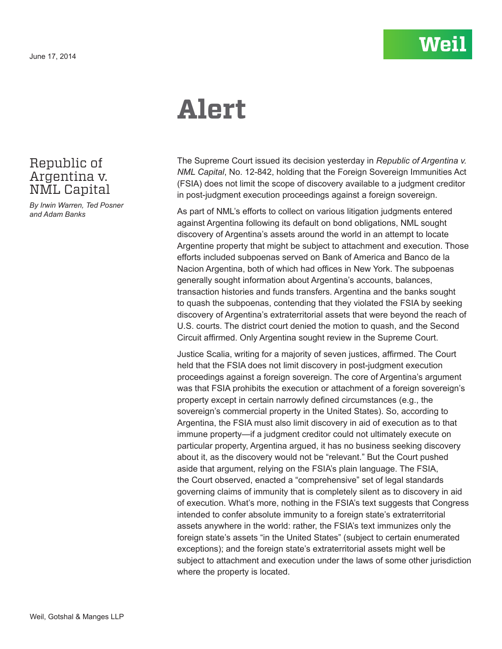## **Alert**

The Supreme Court issued its decision yesterday in *Republic of Argentina v. NML Capital*, No. 12-842, holding that the Foreign Sovereign Immunities Act (FSIA) does not limit the scope of discovery available to a judgment creditor in post-judgment execution proceedings against a foreign sovereign.

As part of NML's efforts to collect on various litigation judgments entered against Argentina following its default on bond obligations, NML sought discovery of Argentina's assets around the world in an attempt to locate Argentine property that might be subject to attachment and execution. Those efforts included subpoenas served on Bank of America and Banco de la Nacion Argentina, both of which had offices in New York. The subpoenas generally sought information about Argentina's accounts, balances, transaction histories and funds transfers. Argentina and the banks sought to quash the subpoenas, contending that they violated the FSIA by seeking discovery of Argentina's extraterritorial assets that were beyond the reach of U.S. courts. The district court denied the motion to quash, and the Second Circuit affirmed. Only Argentina sought review in the Supreme Court.

Justice Scalia, writing for a majority of seven justices, affirmed. The Court held that the FSIA does not limit discovery in post-judgment execution proceedings against a foreign sovereign. The core of Argentina's argument was that FSIA prohibits the execution or attachment of a foreign sovereign's property except in certain narrowly defined circumstances (e.g., the sovereign's commercial property in the United States). So, according to Argentina, the FSIA must also limit discovery in aid of execution as to that immune property—if a judgment creditor could not ultimately execute on particular property, Argentina argued, it has no business seeking discovery about it, as the discovery would not be "relevant." But the Court pushed aside that argument, relying on the FSIA's plain language. The FSIA, the Court observed, enacted a "comprehensive" set of legal standards governing claims of immunity that is completely silent as to discovery in aid of execution. What's more, nothing in the FSIA's text suggests that Congress intended to confer absolute immunity to a foreign state's extraterritorial assets anywhere in the world: rather, the FSIA's text immunizes only the foreign state's assets "in the United States" (subject to certain enumerated exceptions); and the foreign state's extraterritorial assets might well be subject to attachment and execution under the laws of some other jurisdiction where the property is located.

## Republic of Argentina v. NML Capital

*By Irwin Warren, Ted Posner and Adam Banks*